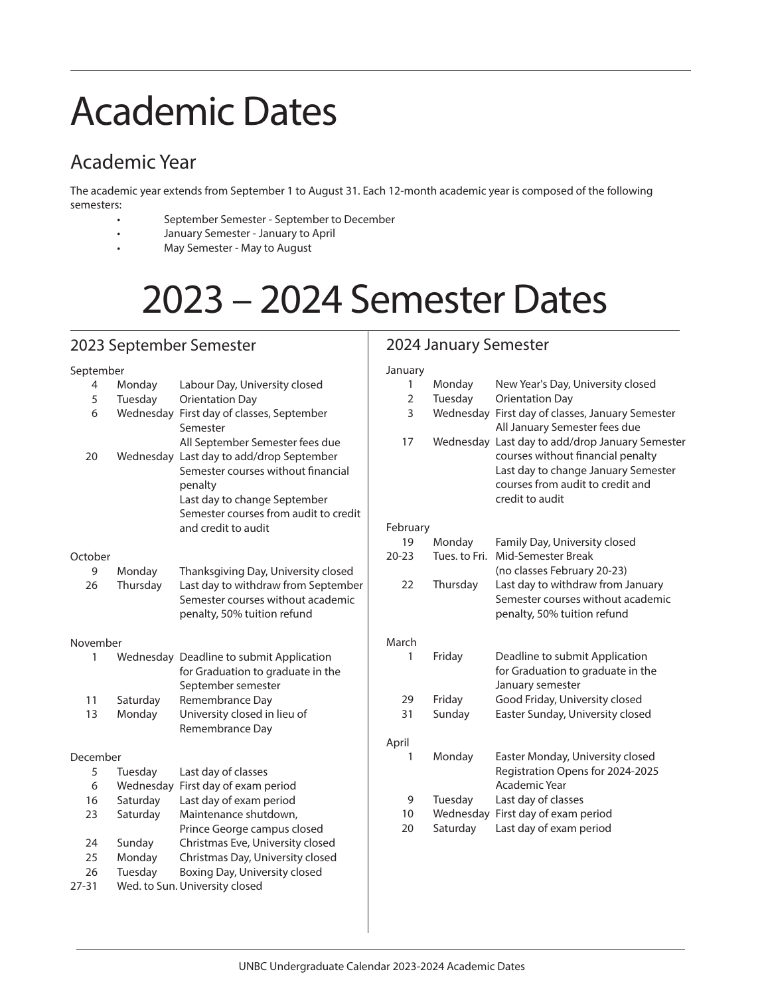# Academic Dates

## Academic Year

The academic year extends from September 1 to August 31. Each 12-month academic year is composed of the following semesters:

- September Semester September to December
- January Semester January to April
- May Semester May to August

## 2023 – 2024 Semester Dates

### 2023 September Semester

#### September

| 4               | Monday    | Labour Day, University closed                                   |
|-----------------|-----------|-----------------------------------------------------------------|
| 5               | Tuesday   | <b>Orientation Day</b>                                          |
| 6               | Wednesday | First day of classes, September                                 |
|                 |           | Semester                                                        |
|                 |           | All September Semester fees due                                 |
| 20              | Wednesday | Last day to add/drop September                                  |
|                 |           | Semester courses without financial                              |
|                 |           | penalty<br>Last day to change September                         |
|                 |           | Semester courses from audit to credit                           |
|                 |           | and credit to audit                                             |
| October         |           |                                                                 |
| 9               | Monday    | Thanksgiving Day, University closed                             |
| 26              | Thursday  | Last day to withdraw from September                             |
|                 |           | Semester courses without academic                               |
|                 |           | penalty, 50% tuition refund                                     |
| November        |           |                                                                 |
| 1               | Wednesday | Deadline to submit Application                                  |
|                 |           | for Graduation to graduate in the                               |
| 11              | Saturday  | September semester<br>Remembrance Day                           |
| 13              | Monday    | University closed in lieu of                                    |
|                 |           | Remembrance Day                                                 |
| December        |           |                                                                 |
| 5               | Tuesday   | Last day of classes                                             |
| 6               | Wednesday | First day of exam period                                        |
| 16              | Saturday  | Last day of exam period                                         |
| 23              | Saturday  | Maintenance shutdown.                                           |
|                 |           | Prince George campus closed                                     |
| 24              | Sunday    | Christmas Eve, University closed                                |
| 25              | Monday    | Christmas Day, University closed                                |
| 26<br>$27 - 31$ | Tuesday   | Boxing Day, University closed<br>Wed. to Sun. University closed |
|                 |           |                                                                 |

### 2024 January Semester

#### January

| 1              | Monday        | New Year's Day, University closed                                                                                                                                        |
|----------------|---------------|--------------------------------------------------------------------------------------------------------------------------------------------------------------------------|
| $\overline{2}$ | Tuesday       | <b>Orientation Day</b>                                                                                                                                                   |
| 3              | Wednesday     | First day of classes, January Semester<br>All January Semester fees due                                                                                                  |
| 17             | Wednesday     | Last day to add/drop January Semester<br>courses without financial penalty<br>Last day to change January Semester<br>courses from audit to credit and<br>credit to audit |
| February       |               |                                                                                                                                                                          |
| 19             | Monday        | Family Day, University closed                                                                                                                                            |
| $20 - 23$      | Tues, to Fri. | Mid-Semester Break                                                                                                                                                       |
|                |               | (no classes February 20-23)                                                                                                                                              |
| 22             | Thursday      | Last day to withdraw from January                                                                                                                                        |
|                |               | Semester courses without academic                                                                                                                                        |
|                |               | penalty, 50% tuition refund                                                                                                                                              |
| March          |               |                                                                                                                                                                          |
| 1              | Friday        | Deadline to submit Application                                                                                                                                           |
|                |               | for Graduation to graduate in the                                                                                                                                        |
|                |               | January semester                                                                                                                                                         |
| 29             | Friday        | Good Friday, University closed                                                                                                                                           |
| 31             | Sunday        | Easter Sunday, University closed                                                                                                                                         |
|                |               |                                                                                                                                                                          |
| April          |               |                                                                                                                                                                          |
| 1              | Monday        | Easter Monday, University closed                                                                                                                                         |
|                |               | Registration Opens for 2024-2025                                                                                                                                         |
|                |               | Academic Year                                                                                                                                                            |
| 9              | Tuesday       | Last day of classes                                                                                                                                                      |
| 10             | Wednesday     | First day of exam period                                                                                                                                                 |
| 20             | Saturday      | Last day of exam period                                                                                                                                                  |
|                |               |                                                                                                                                                                          |
|                |               |                                                                                                                                                                          |